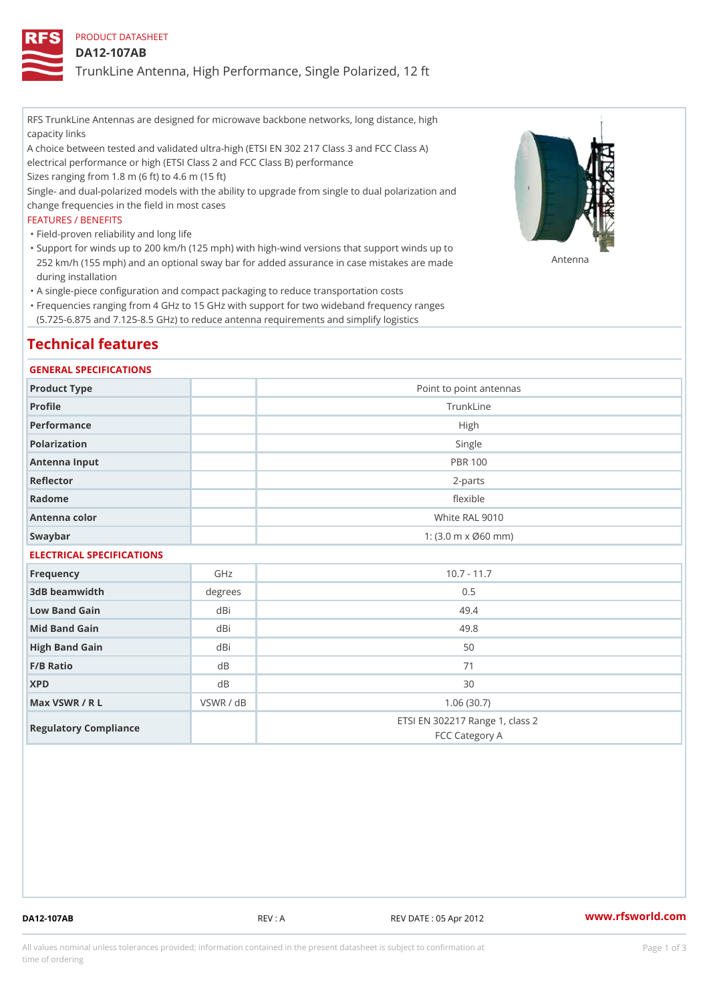## PRODUCT DATASHEET

### DA12-107AB

TrunkLine Antenna, High Performance, Single Polarized, 12 ft

RFS TrunkLine Antennas are designed for microwave backbone networks, long distance, high capacity links

A choice between tested and validated ultra-high (ETSI EN 302 217 Class 3 and FCC Class A) electrical performance or high (ETSI Class 2 and FCC Class B) performance

Sizes ranging from 1.8 m (6 ft) to 4.6 m (15 ft)

Single- and dual-polarized models with the ability to upgrade from single to dual polarization and change frequencies in the field in most cases

### FEATURES / BENEFITS

"Field-proven reliability and long life

- Support for winds up to 200 km/h (125 mph) with high-wind versions that support winds up to " 252 km/h (155 mph) and an optional sway bar for added assurance in case m S # \$ R & B are made during installation
- "A single-piece configuration and compact packaging to reduce transportation costs
- Frequencies ranging from 4 GHz to 15 GHz with support for two wideband frequency ranges " (5.725-6.875 and 7.125-8.5 GHz) to reduce antenna requirements and simplify logistics

## Technical features

### GENERAL SPECIFICATIONS

| Product Type  | Point to point antennas                                 |
|---------------|---------------------------------------------------------|
| Profile       | TrunkLine                                               |
| Performance   | High                                                    |
| Polarization  | Single                                                  |
| Antenna Input | <b>PBR 100</b>                                          |
| Reflector     | $2 - p$ arts                                            |
| Radome        | flexible                                                |
| Antenna color | White RAL 9010                                          |
| Swaybar       | 1: $(3.0 \, \text{m} \times \emptyset 60 \, \text{mm})$ |
|               |                                                         |

## ELECTRICAL SPECIFICATIONS

| Frequency             | GHz       | $10.7 - 11.7$                                     |
|-----------------------|-----------|---------------------------------------------------|
| 3dB beamwidth         | degrees   | 0.5                                               |
| Low Band Gain         | dBi       | 49.4                                              |
| Mid Band Gain         | dBi       | 49.8                                              |
| High Band Gain        | dBi       | 50                                                |
| $F/B$ Ratio           | d B       | 71                                                |
| <b>XPD</b>            | d B       | 30                                                |
| Max VSWR / R L        | VSWR / dB | 1.06(30.7)                                        |
| Regulatory Compliance |           | ETSI EN 302217 Range 1, class 2<br>FCC Category A |

DA12-107AB REV : A REV DATE : 05 Apr 2012 [www.](https://www.rfsworld.com)rfsworld.com

All values nominal unless tolerances provided; information contained in the present datasheet is subject to Pcapgeign mation time of ordering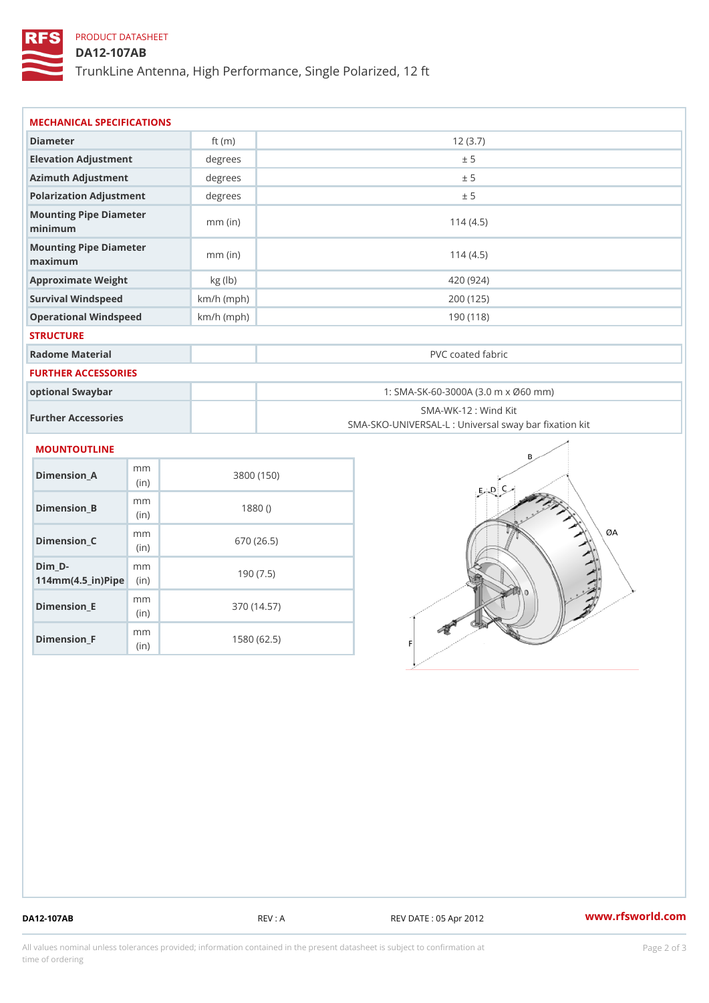# PRODUCT DATASHEET

## DA12-107AB

TrunkLine Antenna, High Performance, Single Polarized, 12 ft

| MECHANICAL SPECIFICATIONS<br>Diameter<br>ft $(m)$<br>12(3.7)<br>Elevation Adjustment<br>degrees<br>± 5<br>Azimuth Adjustment<br>degrees<br>± 5<br>Polarization Adjustment<br>degrees<br>± 5<br>Mounting Pipe Diameter<br>114(4.5)<br>$mm$ (in)<br>minimum<br>Mounting Pipe Diameter<br>$mm$ (in)<br>114(4.5)<br>maximum<br>Approximate Weight<br>kg (lb)<br>420 (924)<br>Survival Windspeed<br>$km/h$ (mph)<br>200 (125)<br>Operational Windspeed<br>$km/h$ (mph)<br>190 (118)<br><b>STRUCTURE</b><br>Radome Material<br>PVC coated fabric<br>FURTHER ACCESSORIES<br>optional Swaybar<br>1: SMA-SK-60-3000A (3.0 m x Ø60 mm)<br>SMA-WK-12: Wind Kit<br>Further Accessories<br>MOUNTOUTLINE<br>m m<br>$Dimension_A$<br>3800 (150)<br>(in)<br>m m<br>Dimension_B<br>1880()<br>(in)<br>m m<br>$Dimension_C$<br>670 (26.5)<br>(in |  |                                                   |  |  |
|-------------------------------------------------------------------------------------------------------------------------------------------------------------------------------------------------------------------------------------------------------------------------------------------------------------------------------------------------------------------------------------------------------------------------------------------------------------------------------------------------------------------------------------------------------------------------------------------------------------------------------------------------------------------------------------------------------------------------------------------------------------------------------------------------------------------------------|--|---------------------------------------------------|--|--|
|                                                                                                                                                                                                                                                                                                                                                                                                                                                                                                                                                                                                                                                                                                                                                                                                                               |  |                                                   |  |  |
|                                                                                                                                                                                                                                                                                                                                                                                                                                                                                                                                                                                                                                                                                                                                                                                                                               |  |                                                   |  |  |
|                                                                                                                                                                                                                                                                                                                                                                                                                                                                                                                                                                                                                                                                                                                                                                                                                               |  |                                                   |  |  |
|                                                                                                                                                                                                                                                                                                                                                                                                                                                                                                                                                                                                                                                                                                                                                                                                                               |  |                                                   |  |  |
|                                                                                                                                                                                                                                                                                                                                                                                                                                                                                                                                                                                                                                                                                                                                                                                                                               |  |                                                   |  |  |
|                                                                                                                                                                                                                                                                                                                                                                                                                                                                                                                                                                                                                                                                                                                                                                                                                               |  |                                                   |  |  |
|                                                                                                                                                                                                                                                                                                                                                                                                                                                                                                                                                                                                                                                                                                                                                                                                                               |  |                                                   |  |  |
|                                                                                                                                                                                                                                                                                                                                                                                                                                                                                                                                                                                                                                                                                                                                                                                                                               |  |                                                   |  |  |
|                                                                                                                                                                                                                                                                                                                                                                                                                                                                                                                                                                                                                                                                                                                                                                                                                               |  |                                                   |  |  |
|                                                                                                                                                                                                                                                                                                                                                                                                                                                                                                                                                                                                                                                                                                                                                                                                                               |  |                                                   |  |  |
|                                                                                                                                                                                                                                                                                                                                                                                                                                                                                                                                                                                                                                                                                                                                                                                                                               |  |                                                   |  |  |
|                                                                                                                                                                                                                                                                                                                                                                                                                                                                                                                                                                                                                                                                                                                                                                                                                               |  |                                                   |  |  |
|                                                                                                                                                                                                                                                                                                                                                                                                                                                                                                                                                                                                                                                                                                                                                                                                                               |  |                                                   |  |  |
|                                                                                                                                                                                                                                                                                                                                                                                                                                                                                                                                                                                                                                                                                                                                                                                                                               |  |                                                   |  |  |
|                                                                                                                                                                                                                                                                                                                                                                                                                                                                                                                                                                                                                                                                                                                                                                                                                               |  | SMA-SKO-UNIVERSAL-L : Universal sway bar fixation |  |  |
|                                                                                                                                                                                                                                                                                                                                                                                                                                                                                                                                                                                                                                                                                                                                                                                                                               |  |                                                   |  |  |
|                                                                                                                                                                                                                                                                                                                                                                                                                                                                                                                                                                                                                                                                                                                                                                                                                               |  |                                                   |  |  |
|                                                                                                                                                                                                                                                                                                                                                                                                                                                                                                                                                                                                                                                                                                                                                                                                                               |  |                                                   |  |  |
|                                                                                                                                                                                                                                                                                                                                                                                                                                                                                                                                                                                                                                                                                                                                                                                                                               |  |                                                   |  |  |
| $Dim_D - D -$<br>m m<br>190(7.5)<br>$114$ m m (4.5 _ ir ) $\sqrt{$ im $\cdot$ $\cdot$                                                                                                                                                                                                                                                                                                                                                                                                                                                                                                                                                                                                                                                                                                                                         |  |                                                   |  |  |

Dimension\_F m<sub>m</sub> (in) 1580 (62.5)

mm (in)

Dimension\_E

370 (14.57)

DA12-107AB REV : A REV DATE : 05 Apr 2012 [www.](https://www.rfsworld.com)rfsworld.com